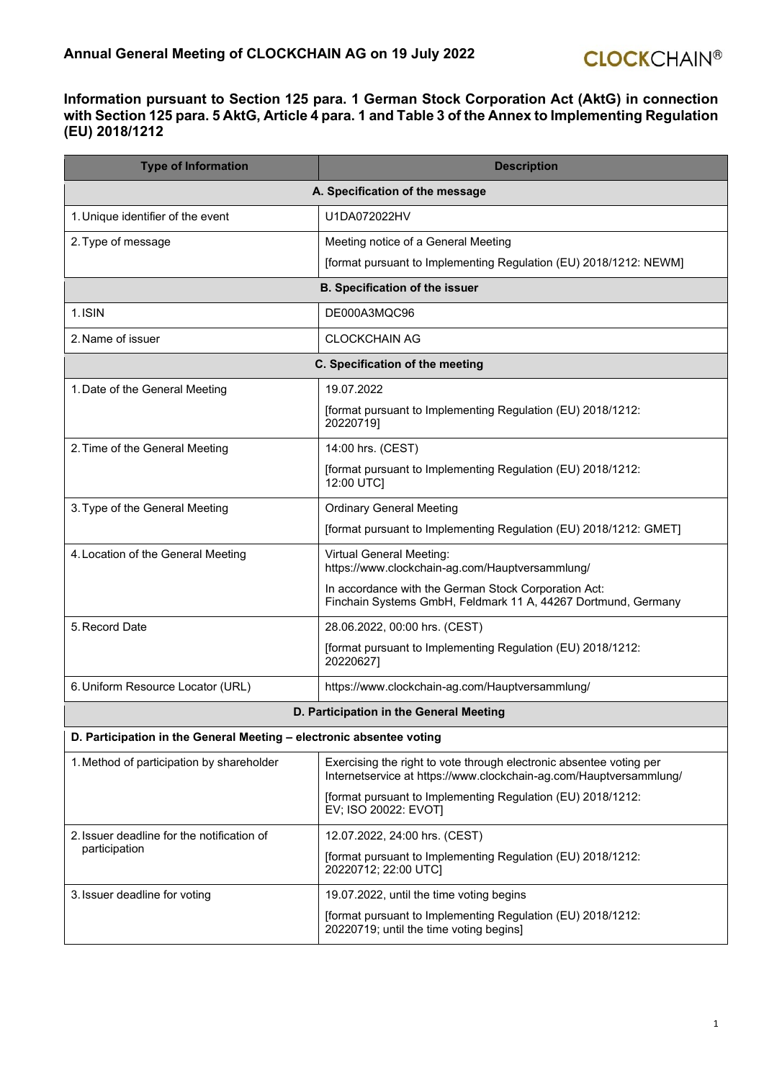## **Information pursuant to Section 125 para. 1 German Stock Corporation Act (AktG) in connection with Section 125 para. 5 AktG, Article 4 para. 1 and Table 3 of the Annex to Implementing Regulation (EU) 2018/1212**

| <b>Type of Information</b>                                           | <b>Description</b>                                                                                                                        |  |
|----------------------------------------------------------------------|-------------------------------------------------------------------------------------------------------------------------------------------|--|
|                                                                      | A. Specification of the message                                                                                                           |  |
| 1. Unique identifier of the event                                    | U1DA072022HV                                                                                                                              |  |
| 2. Type of message                                                   | Meeting notice of a General Meeting                                                                                                       |  |
|                                                                      | [format pursuant to Implementing Regulation (EU) 2018/1212: NEWM]                                                                         |  |
| <b>B. Specification of the issuer</b>                                |                                                                                                                                           |  |
| 1. ISIN                                                              | DE000A3MQC96                                                                                                                              |  |
| 2. Name of issuer                                                    | <b>CLOCKCHAIN AG</b>                                                                                                                      |  |
|                                                                      | C. Specification of the meeting                                                                                                           |  |
| 1. Date of the General Meeting                                       | 19.07.2022                                                                                                                                |  |
|                                                                      | [format pursuant to Implementing Regulation (EU) 2018/1212:<br>20220719]                                                                  |  |
| 2. Time of the General Meeting                                       | 14:00 hrs. (CEST)                                                                                                                         |  |
|                                                                      | [format pursuant to Implementing Regulation (EU) 2018/1212:<br>12:00 UTC]                                                                 |  |
| 3. Type of the General Meeting                                       | <b>Ordinary General Meeting</b>                                                                                                           |  |
|                                                                      | [format pursuant to Implementing Regulation (EU) 2018/1212: GMET]                                                                         |  |
| 4. Location of the General Meeting                                   | <b>Virtual General Meeting:</b><br>https://www.clockchain-ag.com/Hauptversammlung/                                                        |  |
|                                                                      | In accordance with the German Stock Corporation Act:<br>Finchain Systems GmbH, Feldmark 11 A, 44267 Dortmund, Germany                     |  |
| 5. Record Date                                                       | 28.06.2022, 00:00 hrs. (CEST)                                                                                                             |  |
|                                                                      | [format pursuant to Implementing Regulation (EU) 2018/1212:<br>20220627]                                                                  |  |
| 6. Uniform Resource Locator (URL)                                    | https://www.clockchain-ag.com/Hauptversammlung/                                                                                           |  |
|                                                                      | D. Participation in the General Meeting                                                                                                   |  |
| D. Participation in the General Meeting - electronic absentee voting |                                                                                                                                           |  |
| 1. Method of participation by shareholder                            | Exercising the right to vote through electronic absentee voting per<br>Internetservice at https://www.clockchain-ag.com/Hauptversammlung/ |  |
|                                                                      | [format pursuant to Implementing Regulation (EU) 2018/1212:<br>EV; ISO 20022: EVOT]                                                       |  |
| 2. Issuer deadline for the notification of                           | 12.07.2022, 24:00 hrs. (CEST)                                                                                                             |  |
| participation                                                        | [format pursuant to Implementing Regulation (EU) 2018/1212:<br>20220712; 22:00 UTC]                                                       |  |
| 3. Issuer deadline for voting                                        | 19.07.2022, until the time voting begins                                                                                                  |  |
|                                                                      | [format pursuant to Implementing Regulation (EU) 2018/1212:<br>20220719; until the time voting begins]                                    |  |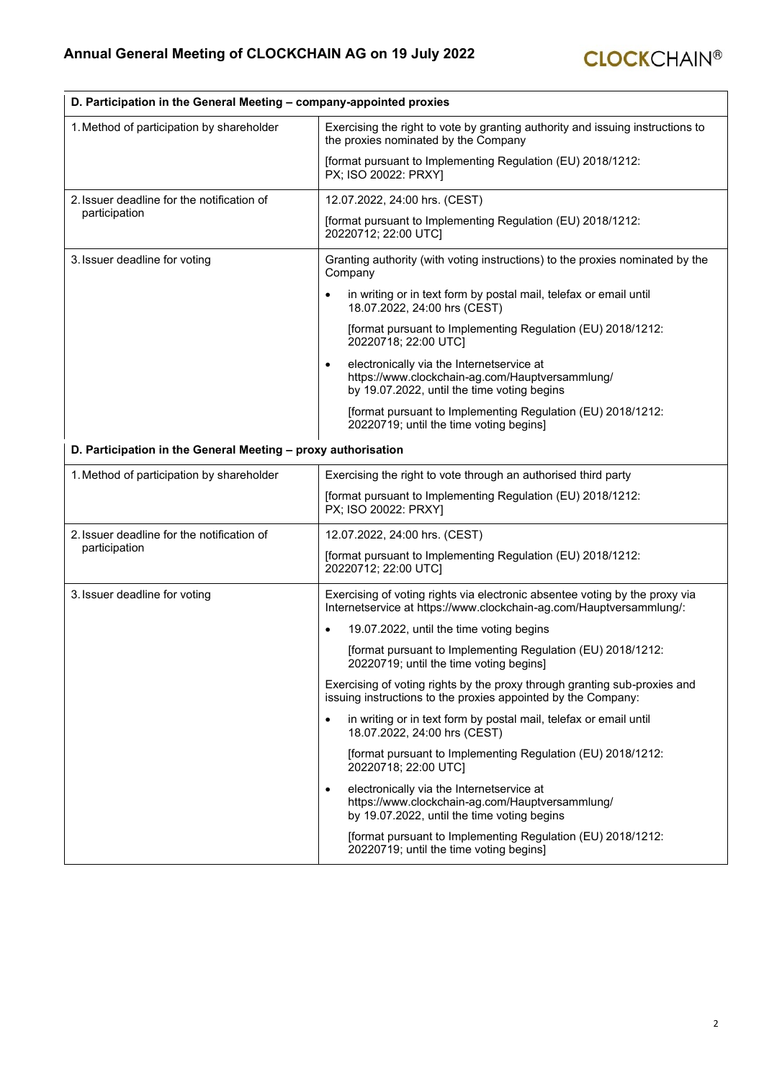<u> 1980 - Johann Barbara, martxa amerikan personal (h. 1980).</u>

| D. Participation in the General Meeting - company-appointed proxies |                                                                                                                                                          |
|---------------------------------------------------------------------|----------------------------------------------------------------------------------------------------------------------------------------------------------|
| 1. Method of participation by shareholder                           | Exercising the right to vote by granting authority and issuing instructions to<br>the proxies nominated by the Company                                   |
|                                                                     | [format pursuant to Implementing Regulation (EU) 2018/1212:<br>PX; ISO 20022: PRXY]                                                                      |
| 2. Issuer deadline for the notification of                          | 12.07.2022, 24:00 hrs. (CEST)                                                                                                                            |
| participation                                                       | [format pursuant to Implementing Regulation (EU) 2018/1212:<br>20220712; 22:00 UTC]                                                                      |
| 3. Issuer deadline for voting                                       | Granting authority (with voting instructions) to the proxies nominated by the<br>Company                                                                 |
|                                                                     | in writing or in text form by postal mail, telefax or email until<br>18.07.2022, 24:00 hrs (CEST)                                                        |
|                                                                     | [format pursuant to Implementing Regulation (EU) 2018/1212:<br>20220718; 22:00 UTC]                                                                      |
|                                                                     | electronically via the Internetservice at<br>https://www.clockchain-ag.com/Hauptversammlung/<br>by 19.07.2022, until the time voting begins              |
|                                                                     | [format pursuant to Implementing Regulation (EU) 2018/1212:<br>20220719; until the time voting begins]                                                   |
| D. Participation in the General Meeting - proxy authorisation       |                                                                                                                                                          |
| 1. Method of participation by shareholder                           | Exercising the right to vote through an authorised third party                                                                                           |
|                                                                     | [format pursuant to Implementing Regulation (EU) 2018/1212:<br>PX; ISO 20022: PRXY]                                                                      |
| 2. Issuer deadline for the notification of<br>participation         | 12.07.2022, 24:00 hrs. (CEST)                                                                                                                            |
|                                                                     | [format pursuant to Implementing Regulation (EU) 2018/1212:<br>20220712; 22:00 UTC]                                                                      |
| 3. Issuer deadline for voting                                       | Exercising of voting rights via electronic absentee voting by the proxy via<br>Internetservice at https://www.clockchain-ag.com/Hauptversammlung/:       |
|                                                                     | 19.07.2022, until the time voting begins                                                                                                                 |
|                                                                     | [format pursuant to Implementing Regulation (EU) 2018/1212:<br>20220719; until the time voting begins]                                                   |
|                                                                     | Exercising of voting rights by the proxy through granting sub-proxies and<br>issuing instructions to the proxies appointed by the Company:               |
|                                                                     | in writing or in text form by postal mail, telefax or email until<br>$\bullet$<br>18.07.2022, 24:00 hrs (CEST)                                           |
|                                                                     | [format pursuant to Implementing Regulation (EU) 2018/1212:<br>20220718; 22:00 UTC]                                                                      |
|                                                                     | electronically via the Internetservice at<br>$\bullet$<br>https://www.clockchain-ag.com/Hauptversammlung/<br>by 19.07.2022, until the time voting begins |
|                                                                     | [format pursuant to Implementing Regulation (EU) 2018/1212:<br>20220719; until the time voting begins]                                                   |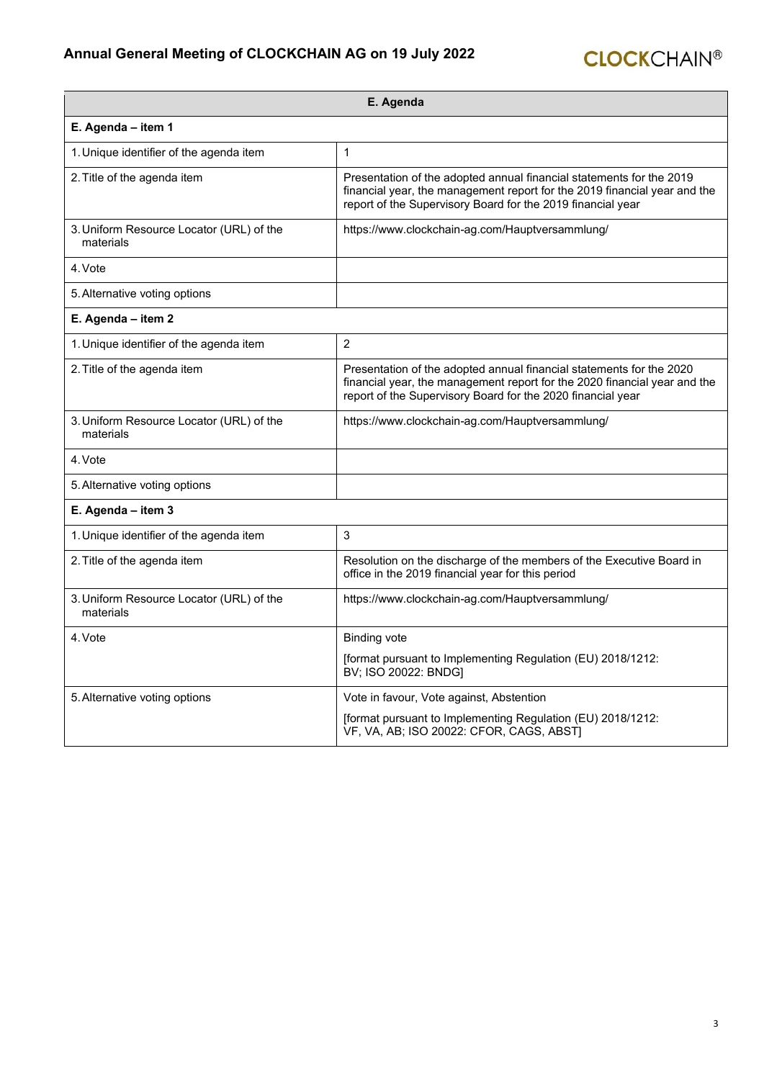## **Annual General Meeting of CLOCKCHAIN AG on 19 July 2022**

| E. Agenda                                             |                                                                                                                                                                                                                  |
|-------------------------------------------------------|------------------------------------------------------------------------------------------------------------------------------------------------------------------------------------------------------------------|
| E. Agenda - item 1                                    |                                                                                                                                                                                                                  |
| 1. Unique identifier of the agenda item               | $\mathbf{1}$                                                                                                                                                                                                     |
| 2. Title of the agenda item                           | Presentation of the adopted annual financial statements for the 2019<br>financial year, the management report for the 2019 financial year and the<br>report of the Supervisory Board for the 2019 financial year |
| 3. Uniform Resource Locator (URL) of the<br>materials | https://www.clockchain-ag.com/Hauptversammlung/                                                                                                                                                                  |
| 4. Vote                                               |                                                                                                                                                                                                                  |
| 5. Alternative voting options                         |                                                                                                                                                                                                                  |
| E. Agenda - item 2                                    |                                                                                                                                                                                                                  |
| 1. Unique identifier of the agenda item               | $\overline{2}$                                                                                                                                                                                                   |
| 2. Title of the agenda item                           | Presentation of the adopted annual financial statements for the 2020<br>financial year, the management report for the 2020 financial year and the<br>report of the Supervisory Board for the 2020 financial year |
| 3. Uniform Resource Locator (URL) of the<br>materials | https://www.clockchain-ag.com/Hauptversammlung/                                                                                                                                                                  |
| 4. Vote                                               |                                                                                                                                                                                                                  |
| 5. Alternative voting options                         |                                                                                                                                                                                                                  |
| E. Agenda - item 3                                    |                                                                                                                                                                                                                  |
| 1. Unique identifier of the agenda item               | 3                                                                                                                                                                                                                |
| 2. Title of the agenda item                           | Resolution on the discharge of the members of the Executive Board in<br>office in the 2019 financial year for this period                                                                                        |
| 3. Uniform Resource Locator (URL) of the<br>materials | https://www.clockchain-ag.com/Hauptversammlung/                                                                                                                                                                  |
| 4. Vote                                               | <b>Binding vote</b>                                                                                                                                                                                              |
|                                                       | [format pursuant to Implementing Regulation (EU) 2018/1212:<br>BV; ISO 20022: BNDG]                                                                                                                              |
| 5. Alternative voting options                         | Vote in favour, Vote against, Abstention                                                                                                                                                                         |
|                                                       | [format pursuant to Implementing Regulation (EU) 2018/1212:<br>VF, VA, AB; ISO 20022: CFOR, CAGS, ABSTI                                                                                                          |

**CLOCK**CHAIN®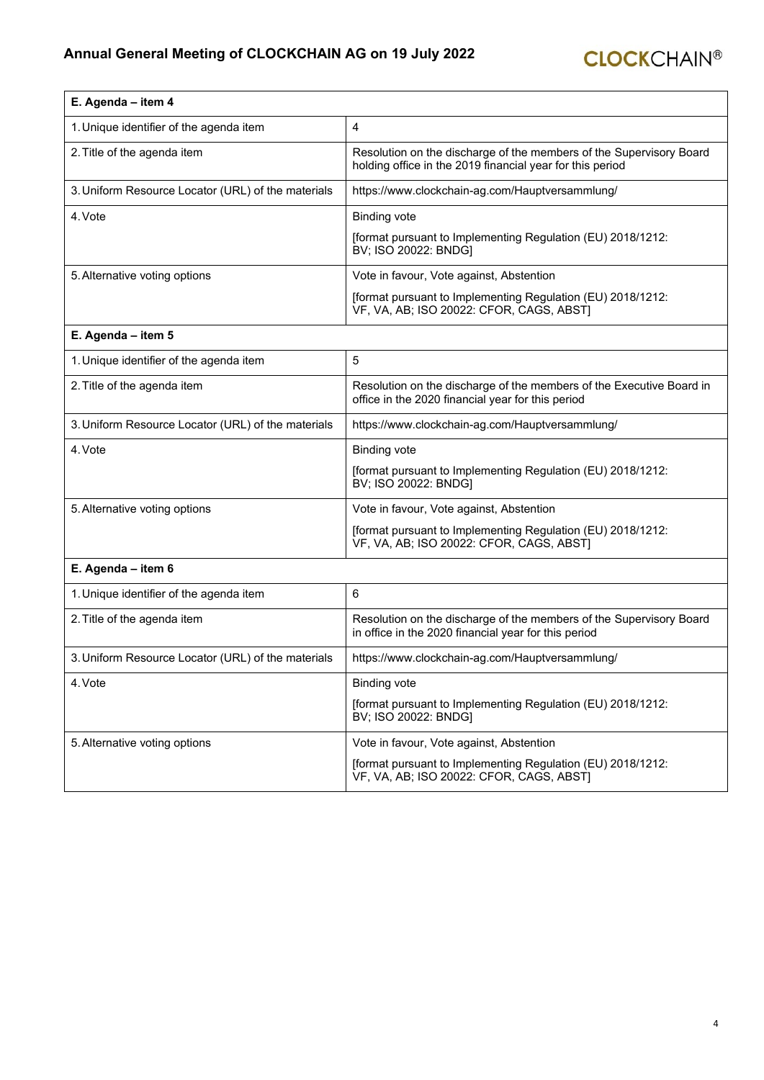| E. Agenda - item 4                                 |                                                                                                                                  |
|----------------------------------------------------|----------------------------------------------------------------------------------------------------------------------------------|
| 1. Unique identifier of the agenda item            | 4                                                                                                                                |
| 2. Title of the agenda item                        | Resolution on the discharge of the members of the Supervisory Board<br>holding office in the 2019 financial year for this period |
| 3. Uniform Resource Locator (URL) of the materials | https://www.clockchain-ag.com/Hauptversammlung/                                                                                  |
| 4. Vote                                            | <b>Binding vote</b>                                                                                                              |
|                                                    | [format pursuant to Implementing Regulation (EU) 2018/1212:<br>BV; ISO 20022: BNDG]                                              |
| 5. Alternative voting options                      | Vote in favour, Vote against, Abstention                                                                                         |
|                                                    | [format pursuant to Implementing Regulation (EU) 2018/1212:<br>VF, VA, AB; ISO 20022: CFOR, CAGS, ABST]                          |
| E. Agenda - item 5                                 |                                                                                                                                  |
| 1. Unique identifier of the agenda item            | 5                                                                                                                                |
| 2. Title of the agenda item                        | Resolution on the discharge of the members of the Executive Board in<br>office in the 2020 financial year for this period        |
| 3. Uniform Resource Locator (URL) of the materials | https://www.clockchain-ag.com/Hauptversammlung/                                                                                  |
| 4. Vote                                            | <b>Binding vote</b>                                                                                                              |
|                                                    | [format pursuant to Implementing Regulation (EU) 2018/1212:<br>BV; ISO 20022: BNDG]                                              |
| 5. Alternative voting options                      | Vote in favour, Vote against, Abstention                                                                                         |
|                                                    | [format pursuant to Implementing Regulation (EU) 2018/1212:<br>VF, VA, AB; ISO 20022: CFOR, CAGS, ABST]                          |
| E. Agenda - item 6                                 |                                                                                                                                  |
| 1. Unique identifier of the agenda item            | 6                                                                                                                                |
| 2. Title of the agenda item                        | Resolution on the discharge of the members of the Supervisory Board<br>in office in the 2020 financial year for this period      |
| 3. Uniform Resource Locator (URL) of the materials | https://www.clockchain-ag.com/Hauptversammlung/                                                                                  |
| 4. Vote                                            | <b>Binding vote</b>                                                                                                              |
|                                                    | [format pursuant to Implementing Regulation (EU) 2018/1212:<br>BV; ISO 20022: BNDG]                                              |
| 5. Alternative voting options                      | Vote in favour, Vote against, Abstention                                                                                         |
|                                                    | [format pursuant to Implementing Regulation (EU) 2018/1212:<br>VF, VA, AB; ISO 20022: CFOR, CAGS, ABST)                          |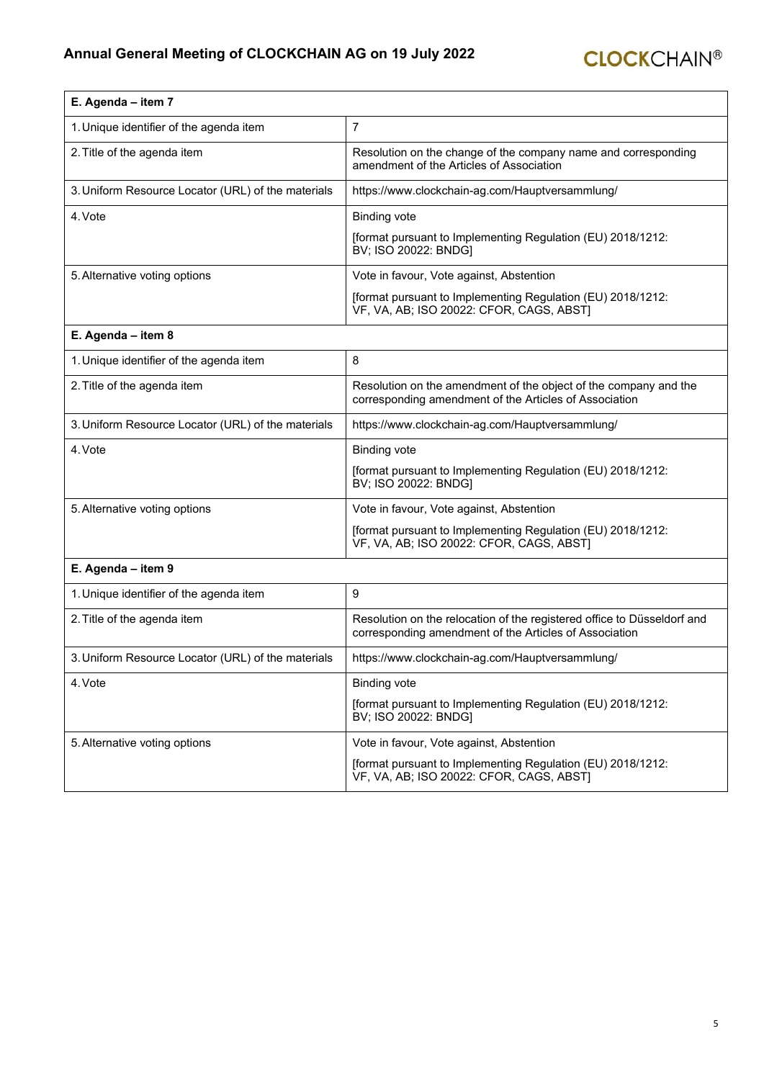| E. Agenda - item 7                                 |                                                                                                                                   |
|----------------------------------------------------|-----------------------------------------------------------------------------------------------------------------------------------|
| 1. Unique identifier of the agenda item            | $\overline{7}$                                                                                                                    |
| 2. Title of the agenda item                        | Resolution on the change of the company name and corresponding<br>amendment of the Articles of Association                        |
| 3. Uniform Resource Locator (URL) of the materials | https://www.clockchain-ag.com/Hauptversammlung/                                                                                   |
| 4. Vote                                            | <b>Binding vote</b>                                                                                                               |
|                                                    | [format pursuant to Implementing Regulation (EU) 2018/1212:<br>BV; ISO 20022: BNDG]                                               |
| 5. Alternative voting options                      | Vote in favour, Vote against, Abstention                                                                                          |
|                                                    | [format pursuant to Implementing Regulation (EU) 2018/1212:<br>VF, VA, AB; ISO 20022: CFOR, CAGS, ABST]                           |
| E. Agenda - item 8                                 |                                                                                                                                   |
| 1. Unique identifier of the agenda item            | 8                                                                                                                                 |
| 2. Title of the agenda item                        | Resolution on the amendment of the object of the company and the<br>corresponding amendment of the Articles of Association        |
| 3. Uniform Resource Locator (URL) of the materials | https://www.clockchain-ag.com/Hauptversammlung/                                                                                   |
| 4. Vote                                            | <b>Binding vote</b>                                                                                                               |
|                                                    | [format pursuant to Implementing Regulation (EU) 2018/1212:<br>BV; ISO 20022: BNDG]                                               |
| 5. Alternative voting options                      | Vote in favour, Vote against, Abstention                                                                                          |
|                                                    | [format pursuant to Implementing Regulation (EU) 2018/1212:<br>VF, VA, AB; ISO 20022: CFOR, CAGS, ABST]                           |
| E. Agenda - item 9                                 |                                                                                                                                   |
| 1. Unique identifier of the agenda item            | 9                                                                                                                                 |
| 2. Title of the agenda item                        | Resolution on the relocation of the registered office to Düsseldorf and<br>corresponding amendment of the Articles of Association |
| 3. Uniform Resource Locator (URL) of the materials | https://www.clockchain-ag.com/Hauptversammlung/                                                                                   |
| 4. Vote                                            | <b>Binding vote</b>                                                                                                               |
|                                                    | [format pursuant to Implementing Regulation (EU) 2018/1212:<br>BV; ISO 20022: BNDG]                                               |
| 5. Alternative voting options                      | Vote in favour, Vote against, Abstention                                                                                          |
|                                                    | [format pursuant to Implementing Regulation (EU) 2018/1212:<br>VF, VA, AB; ISO 20022: CFOR, CAGS, ABST]                           |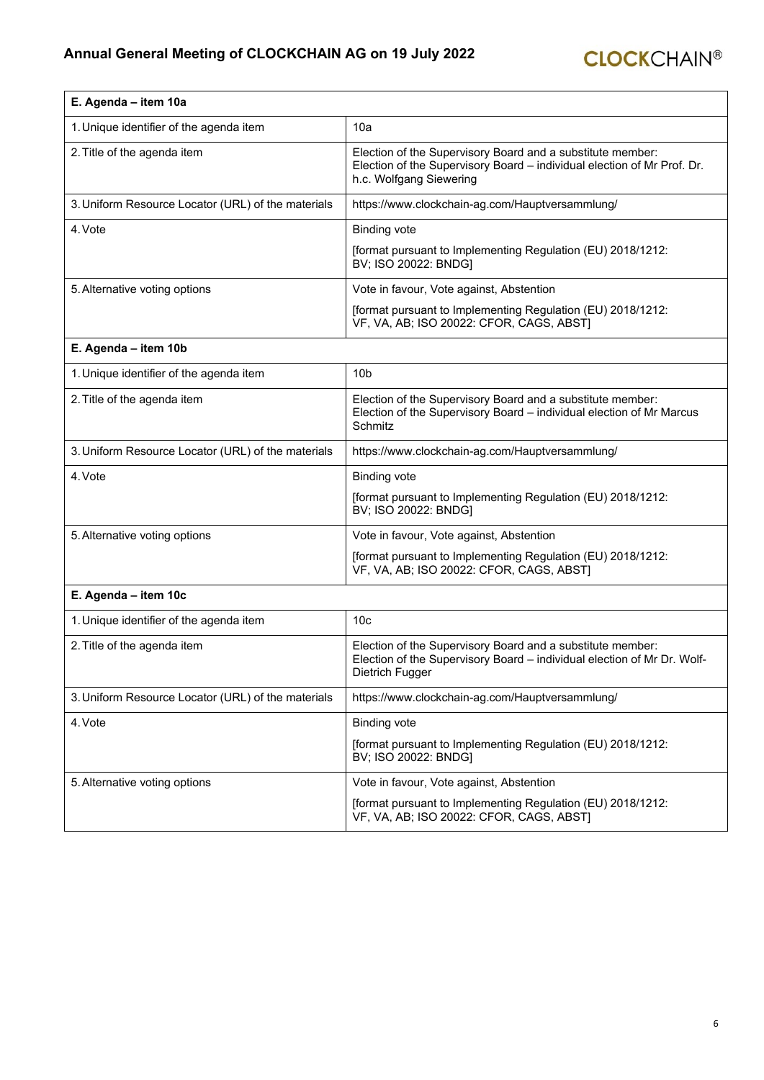r

| E. Agenda - item 10a                               |                                                                                                                                                                  |
|----------------------------------------------------|------------------------------------------------------------------------------------------------------------------------------------------------------------------|
| 1. Unique identifier of the agenda item            | 10a                                                                                                                                                              |
| 2. Title of the agenda item                        | Election of the Supervisory Board and a substitute member:<br>Election of the Supervisory Board - individual election of Mr Prof. Dr.<br>h.c. Wolfgang Siewering |
| 3. Uniform Resource Locator (URL) of the materials | https://www.clockchain-ag.com/Hauptversammlung/                                                                                                                  |
| 4. Vote                                            | <b>Binding vote</b>                                                                                                                                              |
|                                                    | [format pursuant to Implementing Regulation (EU) 2018/1212:<br>BV; ISO 20022: BNDG]                                                                              |
| 5. Alternative voting options                      | Vote in favour, Vote against, Abstention                                                                                                                         |
|                                                    | [format pursuant to Implementing Regulation (EU) 2018/1212:<br>VF, VA, AB; ISO 20022: CFOR, CAGS, ABST]                                                          |
| E. Agenda - item 10b                               |                                                                                                                                                                  |
| 1. Unique identifier of the agenda item            | 10 <sub>b</sub>                                                                                                                                                  |
| 2. Title of the agenda item                        | Election of the Supervisory Board and a substitute member:<br>Election of the Supervisory Board - individual election of Mr Marcus<br>Schmitz                    |
| 3. Uniform Resource Locator (URL) of the materials | https://www.clockchain-ag.com/Hauptversammlung/                                                                                                                  |
| 4. Vote                                            | <b>Binding vote</b>                                                                                                                                              |
|                                                    | [format pursuant to Implementing Regulation (EU) 2018/1212:<br>BV; ISO 20022: BNDG]                                                                              |
| 5. Alternative voting options                      | Vote in favour, Vote against, Abstention                                                                                                                         |
|                                                    | [format pursuant to Implementing Regulation (EU) 2018/1212:<br>VF, VA, AB; ISO 20022: CFOR, CAGS, ABST]                                                          |
| E. Agenda - item 10c                               |                                                                                                                                                                  |
| 1. Unique identifier of the agenda item            | 10 <sub>c</sub>                                                                                                                                                  |
| 2. Title of the agenda item                        | Election of the Supervisory Board and a substitute member:<br>Election of the Supervisory Board - individual election of Mr Dr. Wolf-<br>Dietrich Fugger         |
| 3. Uniform Resource Locator (URL) of the materials | https://www.clockchain-ag.com/Hauptversammlung/                                                                                                                  |
| 4. Vote                                            | <b>Binding vote</b>                                                                                                                                              |
|                                                    | [format pursuant to Implementing Regulation (EU) 2018/1212:<br>BV; ISO 20022: BNDG]                                                                              |
| 5. Alternative voting options                      | Vote in favour, Vote against, Abstention                                                                                                                         |
|                                                    | [format pursuant to Implementing Regulation (EU) 2018/1212:<br>VF, VA, AB; ISO 20022: CFOR, CAGS, ABST)                                                          |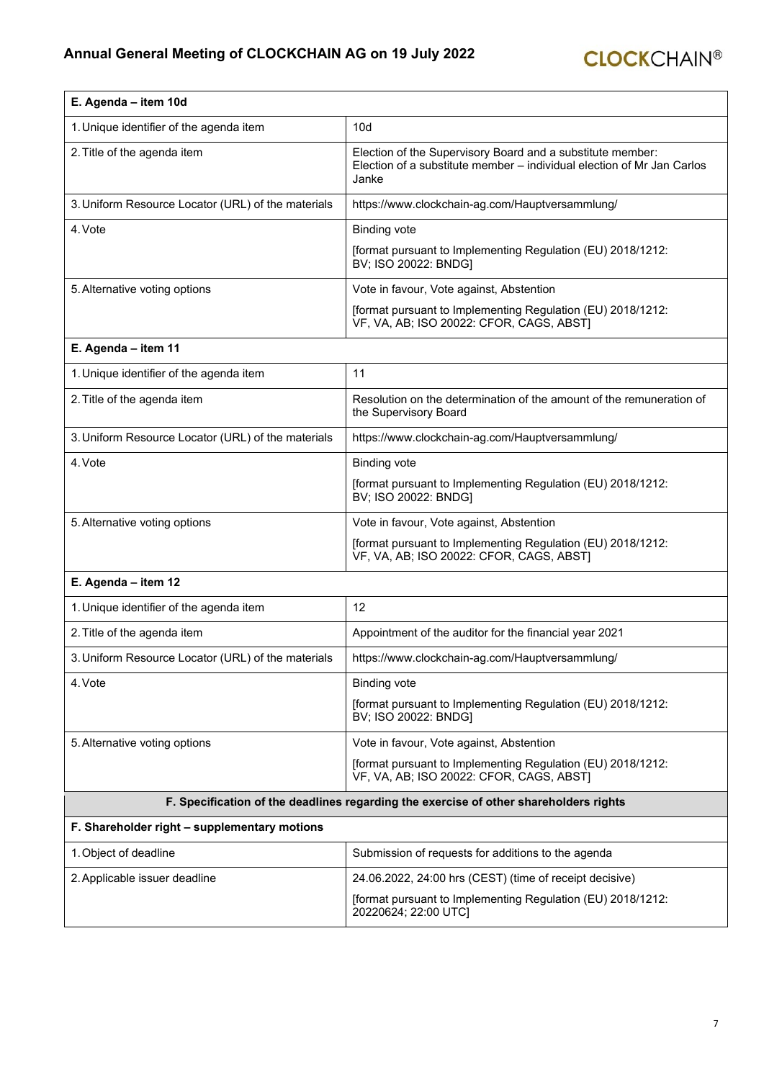| E. Agenda - item 10d                                                                  |                                                                                                                                               |
|---------------------------------------------------------------------------------------|-----------------------------------------------------------------------------------------------------------------------------------------------|
| 1. Unique identifier of the agenda item                                               | 10d                                                                                                                                           |
| 2. Title of the agenda item                                                           | Election of the Supervisory Board and a substitute member:<br>Election of a substitute member – individual election of Mr Jan Carlos<br>Janke |
| 3. Uniform Resource Locator (URL) of the materials                                    | https://www.clockchain-ag.com/Hauptversammlung/                                                                                               |
| 4. Vote                                                                               | <b>Binding vote</b>                                                                                                                           |
|                                                                                       | [format pursuant to Implementing Regulation (EU) 2018/1212:<br>BV; ISO 20022: BNDG]                                                           |
| 5. Alternative voting options                                                         | Vote in favour, Vote against, Abstention                                                                                                      |
|                                                                                       | [format pursuant to Implementing Regulation (EU) 2018/1212:<br>VF, VA, AB; ISO 20022: CFOR, CAGS, ABST]                                       |
| E. Agenda - item 11                                                                   |                                                                                                                                               |
| 1. Unique identifier of the agenda item                                               | 11                                                                                                                                            |
| 2. Title of the agenda item                                                           | Resolution on the determination of the amount of the remuneration of<br>the Supervisory Board                                                 |
| 3. Uniform Resource Locator (URL) of the materials                                    | https://www.clockchain-ag.com/Hauptversammlung/                                                                                               |
| 4. Vote                                                                               | <b>Binding vote</b>                                                                                                                           |
|                                                                                       | [format pursuant to Implementing Regulation (EU) 2018/1212:<br>BV; ISO 20022: BNDG]                                                           |
| 5. Alternative voting options                                                         | Vote in favour, Vote against, Abstention                                                                                                      |
|                                                                                       | [format pursuant to Implementing Regulation (EU) 2018/1212:<br>VF, VA, AB; ISO 20022: CFOR, CAGS, ABST]                                       |
| E. Agenda - item 12                                                                   |                                                                                                                                               |
| 1. Unique identifier of the agenda item                                               | 12                                                                                                                                            |
| 2. Title of the agenda item                                                           | Appointment of the auditor for the financial year 2021                                                                                        |
| 3. Uniform Resource Locator (URL) of the materials                                    | https://www.clockchain-ag.com/Hauptversammlung/                                                                                               |
| 4. Vote                                                                               | <b>Binding vote</b>                                                                                                                           |
|                                                                                       | [format pursuant to Implementing Regulation (EU) 2018/1212:<br>BV; ISO 20022: BNDG]                                                           |
| 5. Alternative voting options                                                         | Vote in favour, Vote against, Abstention                                                                                                      |
|                                                                                       | [format pursuant to Implementing Regulation (EU) 2018/1212:<br>VF, VA, AB; ISO 20022: CFOR, CAGS, ABST)                                       |
| F. Specification of the deadlines regarding the exercise of other shareholders rights |                                                                                                                                               |
| F. Shareholder right - supplementary motions                                          |                                                                                                                                               |
| 1. Object of deadline                                                                 | Submission of requests for additions to the agenda                                                                                            |
| 2. Applicable issuer deadline                                                         | 24.06.2022, 24:00 hrs (CEST) (time of receipt decisive)                                                                                       |
|                                                                                       | [format pursuant to Implementing Regulation (EU) 2018/1212:<br>20220624; 22:00 UTC]                                                           |